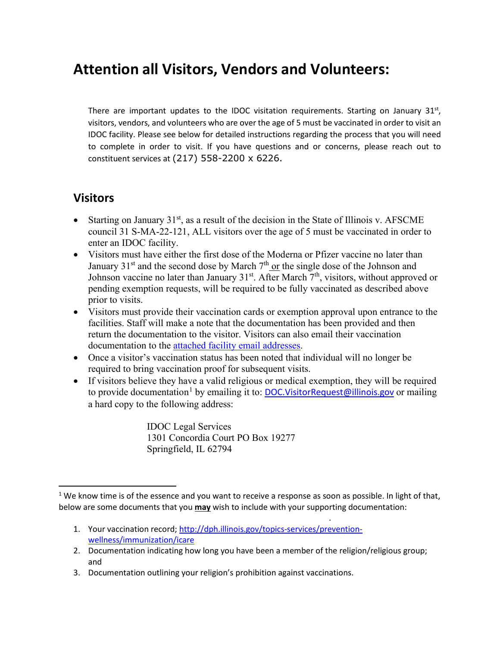## **Attention all Visitors, Vendors and Volunteers:**

There are important updates to the IDOC visitation requirements. Starting on January  $31<sup>st</sup>$ , visitors, vendors, and volunteers who are over the age of 5 must be vaccinated in order to visit an IDOC facility. Please see below for detailed instructions regarding the process that you will need to complete in order to visit. If you have questions and or concerns, please reach out to constituent services at (217) 558-2200 x 6226.

## **Visitors**

- Starting on January  $31<sup>st</sup>$ , as a result of the decision in the State of Illinois v. AFSCME council 31 S-MA-22-121, ALL visitors over the age of 5 must be vaccinated in order to enter an IDOC facility.
- Visitors must have either the first dose of the Moderna or Pfizer vaccine no later than January  $31<sup>st</sup>$  and the second dose by March  $7<sup>th</sup>$  or the single dose of the Johnson and Johnson vaccine no later than January  $31<sup>st</sup>$ . After March  $7<sup>th</sup>$ , visitors, without approved or pending exemption requests, will be required to be fully vaccinated as described above prior to visits.
- Visitors must provide their vaccination cards or exemption approval upon entrance to the facilities. Staff will make a note that the documentation has been provided and then return the documentation to the visitor. Visitors can also email their vaccination documentation to the [attached facility email addresses.](https://www2.illinois.gov/idoc/Documents/Email%20Addresses%20for%20Vax%20Docs.pdf)
- Once a visitor's vaccination status has been noted that individual will no longer be required to bring vaccination proof for subsequent visits.
- If visitors believe they have a valid religious or medical exemption, they will be required to provide documentation<sup>[1](#page-0-0)</sup> by emailing it to: [DOC.VisitorRequest@illinois.gov](mailto:DOC.VisitorRequest@illinois.gov) or mailing a hard copy to the following address:

IDOC Legal Services 1301 Concordia Court PO Box 19277 Springfield, IL 62794

1. Your vaccination record[; http://dph.illinois.gov/topics-services/prevention](http://dph.illinois.gov/topics-services/prevention-wellness/immunization/icare)[wellness/immunization/icare](http://dph.illinois.gov/topics-services/prevention-wellness/immunization/icare)

.

- 2. Documentation indicating how long you have been a member of the religion/religious group; and
- 3. Documentation outlining your religion's prohibition against vaccinations.

<span id="page-0-0"></span> $1$  We know time is of the essence and you want to receive a response as soon as possible. In light of that, below are some documents that you **may** wish to include with your supporting documentation: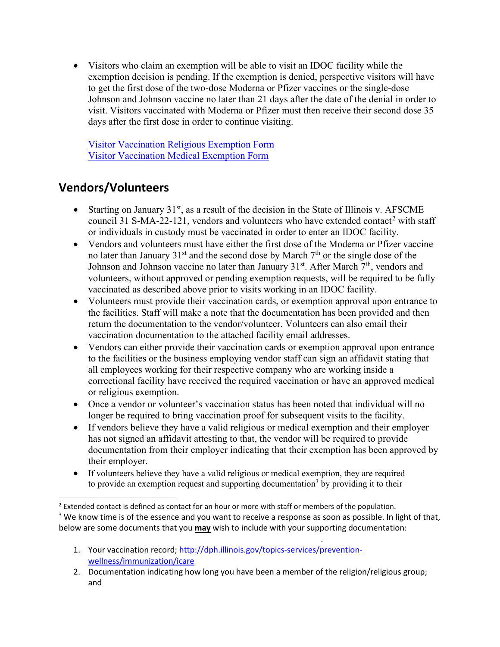• Visitors who claim an exemption will be able to visit an IDOC facility while the exemption decision is pending. If the exemption is denied, perspective visitors will have to get the first dose of the two-dose Moderna or Pfizer vaccines or the single-dose Johnson and Johnson vaccine no later than 21 days after the date of the denial in order to visit. Visitors vaccinated with Moderna or Pfizer must then receive their second dose 35 days after the first dose in order to continue visiting.

[Visitor Vaccination Religious Exemption Form](https://www2.illinois.gov/idoc/facilities/Documents/IDOC%20COVID%20Vaccination%20Visitor%20Religious%20Exemption%20Form.pdf) [Visitor Vaccination Medical Exemption Form](https://www2.illinois.gov/idoc/facilities/Documents/IDOC%20COVID%20Vaccination%20Visitor%20Medical%20Exemption%20Form.pdf)

## **Vendors/Volunteers**

- Starting on January  $31<sup>st</sup>$ , as a result of the decision in the State of Illinois v. AFSCME council 31 S-MA-[2](#page-1-0)2-121, vendors and volunteers who have extended contact<sup>2</sup> with staff or individuals in custody must be vaccinated in order to enter an IDOC facility.
- Vendors and volunteers must have either the first dose of the Moderna or Pfizer vaccine no later than January  $31<sup>st</sup>$  and the second dose by March  $7<sup>th</sup>$  or the single dose of the Johnson and Johnson vaccine no later than January  $31<sup>st</sup>$ . After March  $7<sup>th</sup>$ , vendors and volunteers, without approved or pending exemption requests, will be required to be fully vaccinated as described above prior to visits working in an IDOC facility.
- Volunteers must provide their vaccination cards, or exemption approval upon entrance to the facilities. Staff will make a note that the documentation has been provided and then return the documentation to the vendor/volunteer. Volunteers can also email their vaccination documentation to the attached facility email addresses.
- Vendors can either provide their vaccination cards or exemption approval upon entrance to the facilities or the business employing vendor staff can sign an affidavit stating that all employees working for their respective company who are working inside a correctional facility have received the required vaccination or have an approved medical or religious exemption.
- Once a vendor or volunteer's vaccination status has been noted that individual will no longer be required to bring vaccination proof for subsequent visits to the facility.
- If vendors believe they have a valid religious or medical exemption and their employer has not signed an affidavit attesting to that, the vendor will be required to provide documentation from their employer indicating that their exemption has been approved by their employer.
- If volunteers believe they have a valid religious or medical exemption, they are required to provide an exemption request and supporting documentation<sup>[3](#page-1-1)</sup> by providing it to their

<span id="page-1-1"></span><sup>3</sup> We know time is of the essence and you want to receive a response as soon as possible. In light of that, below are some documents that you **may** wish to include with your supporting documentation:

1. Your vaccination record[; http://dph.illinois.gov/topics-services/prevention](http://dph.illinois.gov/topics-services/prevention-wellness/immunization/icare)[wellness/immunization/icare](http://dph.illinois.gov/topics-services/prevention-wellness/immunization/icare)

.

<span id="page-1-0"></span> $<sup>2</sup>$  Extended contact is defined as contact for an hour or more with staff or members of the population.</sup>

<sup>2.</sup> Documentation indicating how long you have been a member of the religion/religious group; and